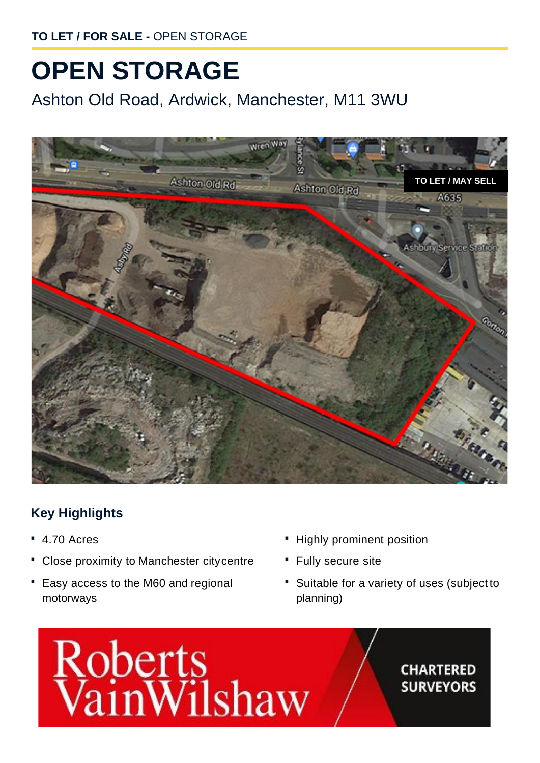**TO LET / FOR SALE -** OPEN STORAGE

## **OPEN STORAGE**

Ashton Old Road, Ardwick, Manchester, M11 3WU



## **Key Highlights**

- **·** 4.70 Acres
- **·** Close proximity to Manchester citycentre
- **·** Easy access to the M60 and regional motorways
- **·** Highly prominent position
- **·** Fully secure site
- **·** Suitable for a variety of uses (subject to planning)



## **CHARTERED SURVEYORS**